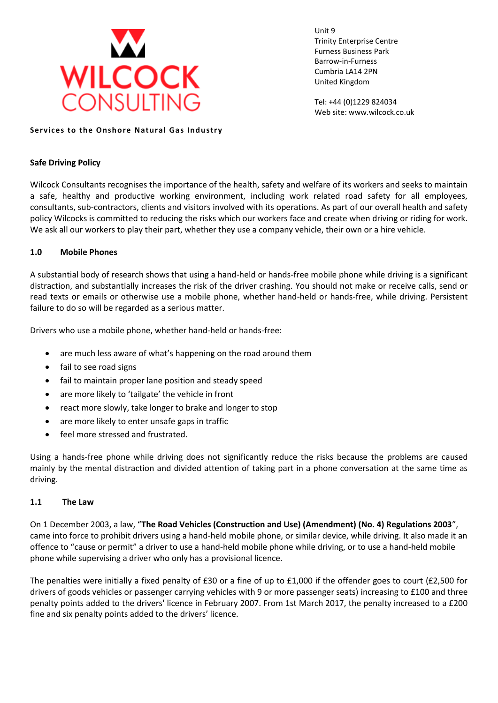

Unit 9 Trinity Enterprise Centre Furness Business Park Barrow-in-Furness Cumbria LA14 2PN United Kingdom

Tel: +44 (0)1229 824034 Web site: www.wilcock.co.uk

#### **Services to the Onshore Natural Gas Industry**

#### **Safe Driving Policy**

Wilcock Consultants recognises the importance of the health, safety and welfare of its workers and seeks to maintain a safe, healthy and productive working environment, including work related road safety for all employees, consultants, sub-contractors, clients and visitors involved with its operations. As part of our overall health and safety policy Wilcocks is committed to reducing the risks which our workers face and create when driving or riding for work. We ask all our workers to play their part, whether they use a company vehicle, their own or a hire vehicle.

# **1.0 Mobile Phones**

A substantial body of research shows that using a hand-held or hands-free mobile phone while driving is a significant distraction, and substantially increases the risk of the driver crashing. You should not make or receive calls, send or read texts or emails or otherwise use a mobile phone, whether hand-held or hands-free, while driving. Persistent failure to do so will be regarded as a serious matter.

Drivers who use a mobile phone, whether hand-held or hands-free:

- are much less aware of what's happening on the road around them
- fail to see road signs
- fail to maintain proper lane position and steady speed
- are more likely to 'tailgate' the vehicle in front
- react more slowly, take longer to brake and longer to stop
- are more likely to enter unsafe gaps in traffic
- feel more stressed and frustrated.

Using a hands-free phone while driving does not significantly reduce the risks because the problems are caused mainly by the mental distraction and divided attention of taking part in a phone conversation at the same time as driving.

# **1.1 The Law**

On 1 December 2003, a law, "**The Road Vehicles (Construction and Use) (Amendment) (No. 4) Regulations 2003**", came into force to prohibit drivers using a hand-held mobile phone, or similar device, while driving. It also made it an offence to "cause or permit" a driver to use a hand-held mobile phone while driving, or to use a hand-held mobile phone while supervising a driver who only has a provisional licence.

The penalties were initially a fixed penalty of £30 or a fine of up to £1,000 if the offender goes to court (£2,500 for drivers of goods vehicles or passenger carrying vehicles with 9 or more passenger seats) increasing to £100 and three penalty points added to the drivers' licence in February 2007. From 1st March 2017, the penalty increased to a £200 fine and six penalty points added to the drivers' licence.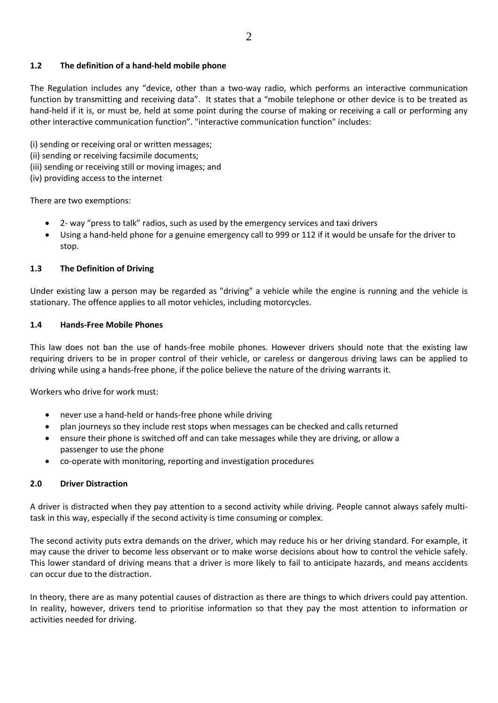# **1.2 The definition of a hand-held mobile phone**

The Regulation includes any "device, other than a two-way radio, which performs an interactive communication function by transmitting and receiving data". It states that a "mobile telephone or other device is to be treated as hand-held if it is, or must be, held at some point during the course of making or receiving a call or performing any other interactive communication function". "interactive communication function" includes:

(i) sending or receiving oral or written messages;

- (ii) sending or receiving facsimile documents;
- (iii) sending or receiving still or moving images; and
- (iv) providing access to the internet

There are two exemptions:

- 2- way "press to talk" radios, such as used by the emergency services and taxi drivers
- Using a hand-held phone for a genuine emergency call to 999 or 112 if it would be unsafe for the driver to stop.

# **1.3 The Definition of Driving**

Under existing law a person may be regarded as "driving" a vehicle while the engine is running and the vehicle is stationary. The offence applies to all motor vehicles, including motorcycles.

# **1.4 Hands-Free Mobile Phones**

This law does not ban the use of hands-free mobile phones. However drivers should note that the existing law requiring drivers to be in proper control of their vehicle, or careless or dangerous driving laws can be applied to driving while using a hands-free phone, if the police believe the nature of the driving warrants it.

Workers who drive for work must:

- never use a hand-held or hands-free phone while driving
- plan journeys so they include rest stops when messages can be checked and calls returned
- ensure their phone is switched off and can take messages while they are driving, or allow a passenger to use the phone
- co-operate with monitoring, reporting and investigation procedures

# **2.0 Driver Distraction**

A driver is distracted when they pay attention to a second activity while driving. People cannot always safely multitask in this way, especially if the second activity is time consuming or complex.

The second activity puts extra demands on the driver, which may reduce his or her driving standard. For example, it may cause the driver to become less observant or to make worse decisions about how to control the vehicle safely. This lower standard of driving means that a driver is more likely to fail to anticipate hazards, and means accidents can occur due to the distraction.

In theory, there are as many potential causes of distraction as there are things to which drivers could pay attention. In reality, however, drivers tend to prioritise information so that they pay the most attention to information or activities needed for driving.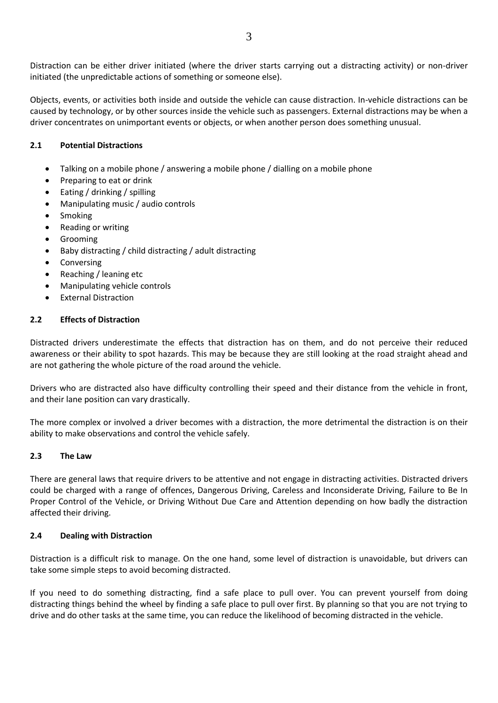Distraction can be either driver initiated (where the driver starts carrying out a distracting activity) or non-driver initiated (the unpredictable actions of something or someone else).

Objects, events, or activities both inside and outside the vehicle can cause distraction. In-vehicle distractions can be caused by technology, or by other sources inside the vehicle such as passengers. External distractions may be when a driver concentrates on unimportant events or objects, or when another person does something unusual.

# **2.1 Potential Distractions**

- Talking on a mobile phone / answering a mobile phone / dialling on a mobile phone
- Preparing to eat or drink
- Eating / drinking / spilling
- Manipulating music / audio controls
- **Smoking**
- Reading or writing
- **Grooming**
- Baby distracting / child distracting / adult distracting
- **Conversing**
- Reaching / leaning etc
- Manipulating vehicle controls
- External Distraction

# **2.2 Effects of Distraction**

Distracted drivers underestimate the effects that distraction has on them, and do not perceive their reduced awareness or their ability to spot hazards. This may be because they are still looking at the road straight ahead and are not gathering the whole picture of the road around the vehicle.

Drivers who are distracted also have difficulty controlling their speed and their distance from the vehicle in front, and their lane position can vary drastically.

The more complex or involved a driver becomes with a distraction, the more detrimental the distraction is on their ability to make observations and control the vehicle safely.

# **2.3 The Law**

There are general laws that require drivers to be attentive and not engage in distracting activities. Distracted drivers could be charged with a range of offences, Dangerous Driving, Careless and Inconsiderate Driving, Failure to Be In Proper Control of the Vehicle, or Driving Without Due Care and Attention depending on how badly the distraction affected their driving.

# **2.4 Dealing with Distraction**

Distraction is a difficult risk to manage. On the one hand, some level of distraction is unavoidable, but drivers can take some simple steps to avoid becoming distracted.

If you need to do something distracting, find a safe place to pull over. You can prevent yourself from doing distracting things behind the wheel by finding a safe place to pull over first. By planning so that you are not trying to drive and do other tasks at the same time, you can reduce the likelihood of becoming distracted in the vehicle.